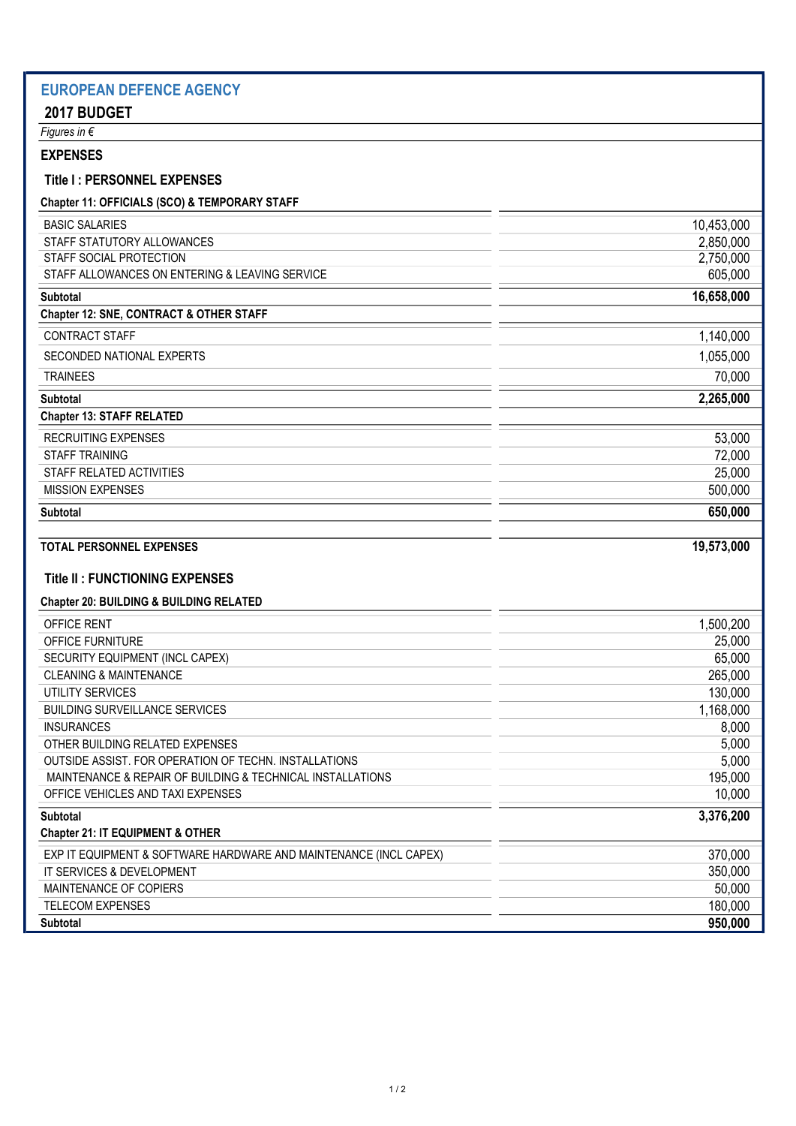## EUROPEAN DEFENCE AGENCY 2017 BUDGET Figures in € EXPENSES Title I : PERSONNEL EXPENSES Chapter 11: OFFICIALS (SCO) & TEMPORARY STAFF BASIC SALARIES 10,453,000 STAFF STATUTORY ALLOWANCES 2,850,000 STAFF SOCIAL PROTECTION 2,750,000 STAFF ALLOWANCES ON ENTERING & LEAVING SERVICE **CONTRACT CONTRACT CONTRACT CONTRACT CONTRACT CONTRACT CONTRACT CONTR** Subtotal 16,658,000 Chapter 12: SNE, CONTRACT & OTHER STAFF CONTRACT STAFF 1,140,000 SECONDED NATIONAL EXPERTS 1,055,000 TRAINEES 70,000 Subtotal 2,265,000 Chapter 13: STAFF RELATED RECRUITING EXPENSES 53,000 STAFF TRAINING 72,000 STAFF RELATED ACTIVITIES 25,000 MISSION EXPENSES 500,000 Subtotal 650,000 TOTAL PERSONNEL EXPENSES 19,573,000 Title II : FUNCTIONING EXPENSES Chapter 20: BUILDING & BUILDING RELATED OFFICE RENT 1,500,200 OFFICE FURNITURE 25,000 SECURITY EQUIPMENT (INCL CAPEX) 65,000 CLEANING & MAINTENANCE 265,000 UTILITY SERVICES 130,000 BUILDING SURVEILLANCE SERVICES **1,168,000** 1,168,000 INSURANCES 8,000 OTHER BUILDING RELATED EXPENSES 5,000 OUTSIDE ASSIST. FOR OPERATION OF TECHN. INSTALLATIONS 5,000 MAINTENANCE & REPAIR OF BUILDING & TECHNICAL INSTALLATIONS 195,000 195,000 OFFICE VEHICLES AND TAXI EXPENSES 10,000 and the state of the state of the state of the state of the state of the state of the state of the state of the state of the state of the state of the state of the state of the stat Subtotal 3,376,200 Chapter 21: IT EQUIPMENT & OTHER EXP IT EQUIPMENT & SOFTWARE HARDWARE AND MAINTENANCE (INCL CAPEX) 370,000 IT SERVICES & DEVELOPMENT 350,000 MAINTENANCE OF COPIERS 50,000 TELECOM EXPENSES 180,000 Subtotal 950,000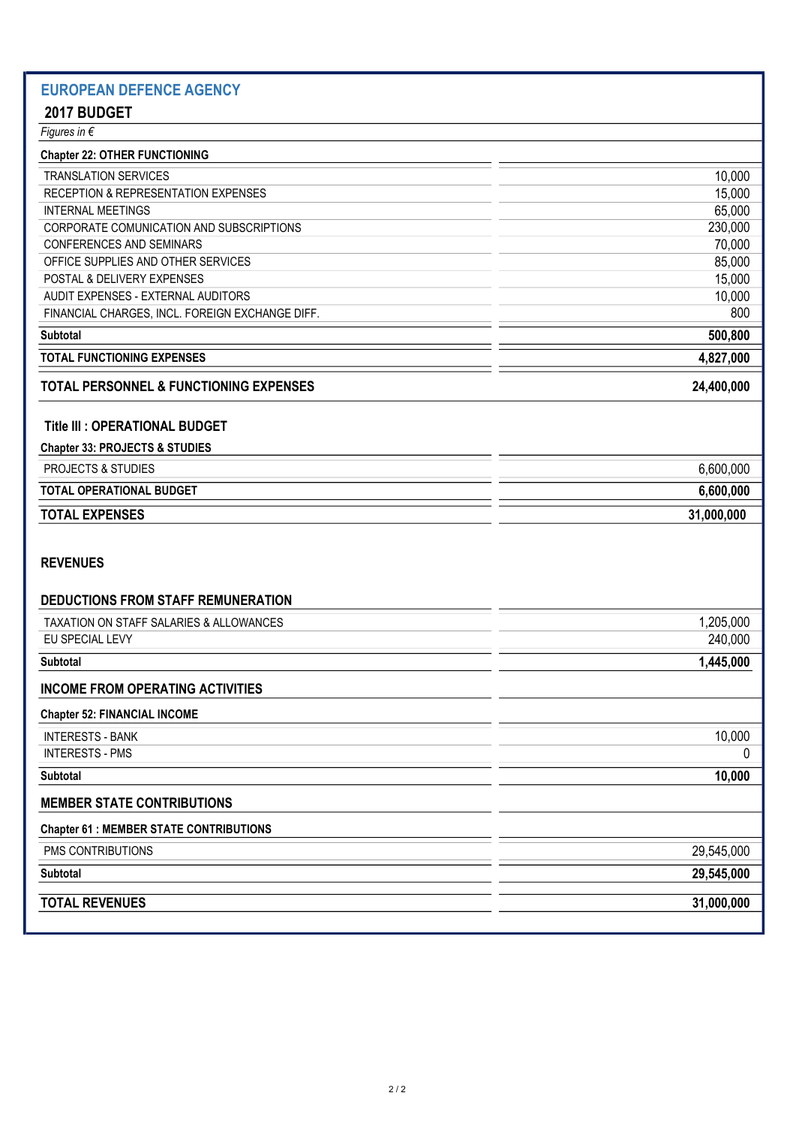# EUROPEAN DEFENCE AGENCY

# 2017 BUDGET

| 10,000    |
|-----------|
| 15,000    |
| 65,000    |
| 230,000   |
| 70,000    |
| 85,000    |
| 15,000    |
| 10,000    |
| 800       |
| 500,800   |
| 4,827,000 |
|           |

# TOTAL PERSONNEL & FUNCTIONING EXPENSES 24,400,000

#### Title III : OPERATIONAL BUDGET

| <b>Chapter 33: PROJECTS &amp; STUDIES</b> |            |
|-------------------------------------------|------------|
| <b>PROJECTS &amp; STUDIES</b>             | 6,600,000  |
| <b>TOTAL OPERATIONAL BUDGET</b>           | 6,600,000  |
| <b>TOTAL EXPENSES</b>                     | 31,000,000 |
|                                           |            |

### REVENUES

| <b>DEDUCTIONS FROM STAFF REMUNERATION</b>      |            |
|------------------------------------------------|------------|
| TAXATION ON STAFF SALARIES & ALLOWANCES        | 1,205,000  |
| EU SPECIAL LEVY                                | 240,000    |
| <b>Subtotal</b>                                | 1,445,000  |
| <b>INCOME FROM OPERATING ACTIVITIES</b>        |            |
| <b>Chapter 52: FINANCIAL INCOME</b>            |            |
| <b>INTERESTS - BANK</b>                        | 10,000     |
| <b>INTERESTS - PMS</b>                         | 0          |
| <b>Subtotal</b>                                | 10,000     |
| <b>MEMBER STATE CONTRIBUTIONS</b>              |            |
| <b>Chapter 61 : MEMBER STATE CONTRIBUTIONS</b> |            |
| PMS CONTRIBUTIONS                              | 29,545,000 |
| <b>Subtotal</b>                                | 29,545,000 |
| <b>TOTAL REVENUES</b>                          | 31,000,000 |
|                                                |            |